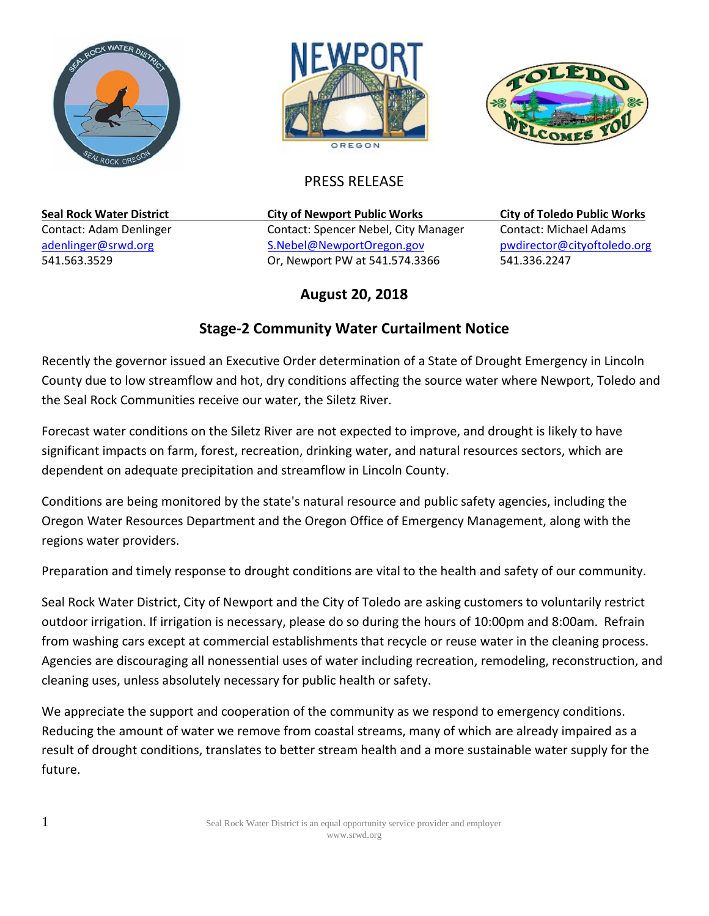





## PRESS RELEASE

**Seal Rock Water District City of Newport Public Works City of Toledo Public Works** Contact: Adam Denlinger Contact: Spencer Nebel, City Manager Contact: Michael Adams [adenlinger@srwd.org](mailto:adenlinger@srwd.org) entitled states and the set of the [S.Nebel@NewportOregon.gov](mailto:S.Nebel@NewportOregon.gov) buildinger@cityoftoledo.org 541.563.3529 Or, Newport PW at 541.574.3366 541.336.2247

## **August 20, 2018**

## **Stage-2 Community Water Curtailment Notice**

Recently the governor issued an Executive Order determination of a State of Drought Emergency in Lincoln County due to low streamflow and hot, dry conditions affecting the source water where Newport, Toledo and the Seal Rock Communities receive our water, the Siletz River.

Forecast water conditions on the Siletz River are not expected to improve, and drought is likely to have significant impacts on farm, forest, recreation, drinking water, and natural resources sectors, which are dependent on adequate precipitation and streamflow in Lincoln County.

Conditions are being monitored by the state's natural resource and public safety agencies, including the Oregon Water Resources Department and the Oregon Office of Emergency Management, along with the regions water providers.

Preparation and timely response to drought conditions are vital to the health and safety of our community.

Seal Rock Water District, City of Newport and the City of Toledo are asking customers to voluntarily restrict outdoor irrigation. If irrigation is necessary, please do so during the hours of 10:00pm and 8:00am. Refrain from washing cars except at commercial establishments that recycle or reuse water in the cleaning process. Agencies are discouraging all nonessential uses of water including recreation, remodeling, reconstruction, and cleaning uses, unless absolutely necessary for public health or safety.

We appreciate the support and cooperation of the community as we respond to emergency conditions. Reducing the amount of water we remove from coastal streams, many of which are already impaired as a result of drought conditions, translates to better stream health and a more sustainable water supply for the future.